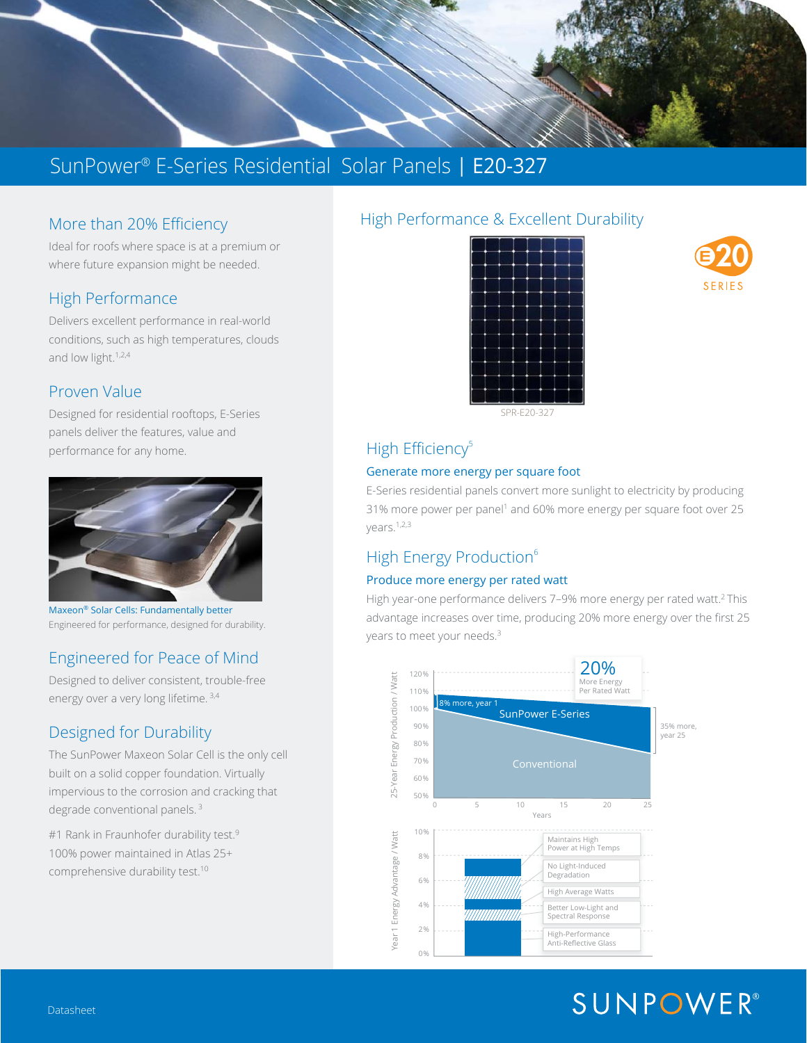

## More than 20% Efficiency

Ideal for roofs where space is at a premium or where future expansion might be needed.

#### High Performance

Delivers excellent performance in real-world conditions, such as high temperatures, clouds and low light.<sup>1,2,4</sup>

#### Proven Value

Designed for residential rooftops, E-Series panels deliver the features, value and performance for any home.



Maxeon® Solar Cells: Fundamentally better Engineered for performance, designed for durability.

## Engineered for Peace of Mind

Designed to deliver consistent, trouble-free energy over a very long lifetime. 3,4

## Designed for Durability

The SunPower Maxeon Solar Cell is the only cell built on a solid copper foundation. Virtually impervious to the corrosion and cracking that degrade conventional panels.<sup>3</sup>

#1 Rank in Fraunhofer durability test.<sup>9</sup> 100% power maintained in Atlas 25+ comprehensive durability test.10

#### High Performance & Excellent Durability







## High Efficiency<sup>5</sup>

#### Generate more energy per square foot

E-Series residential panels convert more sunlight to electricity by producing 31% more power per panel<sup>1</sup> and 60% more energy per square foot over 25 years.1,2,3

## High Energy Production<sup>6</sup>

#### Produce more energy per rated watt

High year-one performance delivers 7-9% more energy per rated watt.<sup>2</sup> This advantage increases over time, producing 20% more energy over the first 25 years to meet your needs.<sup>3</sup>



# **SUNPOWER®**